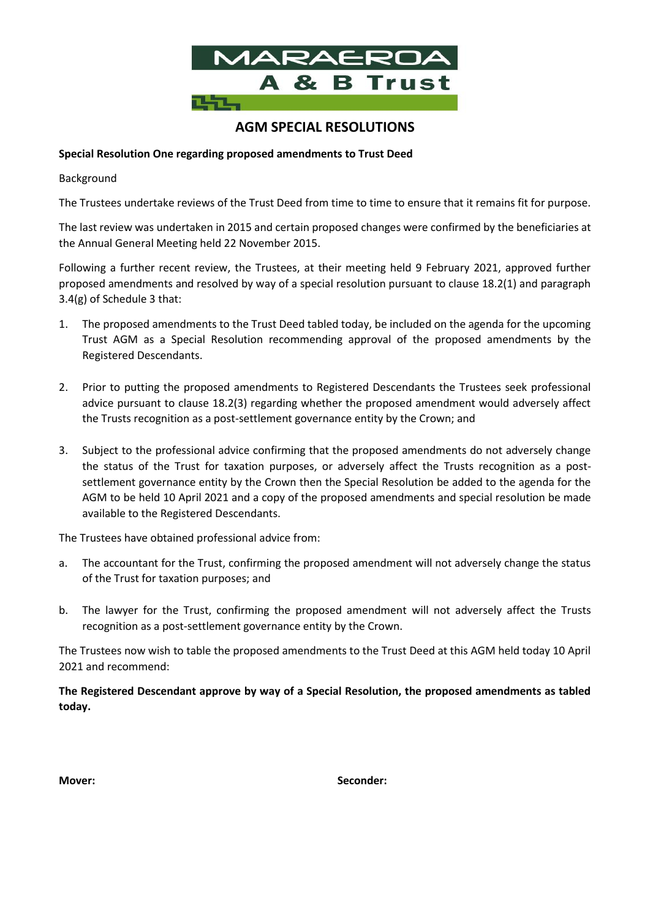

# **AGM SPECIAL RESOLUTIONS**

### **Special Resolution One regarding proposed amendments to Trust Deed**

#### Background

The Trustees undertake reviews of the Trust Deed from time to time to ensure that it remains fit for purpose.

The last review was undertaken in 2015 and certain proposed changes were confirmed by the beneficiaries at the Annual General Meeting held 22 November 2015.

Following a further recent review, the Trustees, at their meeting held 9 February 2021, approved further proposed amendments and resolved by way of a special resolution pursuant to clause 18.2(1) and paragraph 3.4(g) of Schedule 3 that:

- 1. The proposed amendments to the Trust Deed tabled today, be included on the agenda for the upcoming Trust AGM as a Special Resolution recommending approval of the proposed amendments by the Registered Descendants.
- 2. Prior to putting the proposed amendments to Registered Descendants the Trustees seek professional advice pursuant to clause 18.2(3) regarding whether the proposed amendment would adversely affect the Trusts recognition as a post-settlement governance entity by the Crown; and
- 3. Subject to the professional advice confirming that the proposed amendments do not adversely change the status of the Trust for taxation purposes, or adversely affect the Trusts recognition as a postsettlement governance entity by the Crown then the Special Resolution be added to the agenda for the AGM to be held 10 April 2021 and a copy of the proposed amendments and special resolution be made available to the Registered Descendants.

The Trustees have obtained professional advice from:

- a. The accountant for the Trust, confirming the proposed amendment will not adversely change the status of the Trust for taxation purposes; and
- b. The lawyer for the Trust, confirming the proposed amendment will not adversely affect the Trusts recognition as a post-settlement governance entity by the Crown.

The Trustees now wish to table the proposed amendments to the Trust Deed at this AGM held today 10 April 2021 and recommend:

**The Registered Descendant approve by way of a Special Resolution, the proposed amendments as tabled today.**

**Mover: Seconder:**